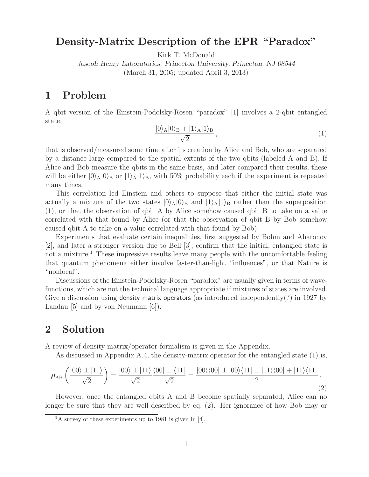# **Density-Matrix Description of the EPR "Paradox"**

Kirk T. McDonald

*Joseph Henry Laboratories, Princeton University, Princeton, NJ 08544* (March 31, 2005; updated April 3, 2013)

## **1 Problem**

A qbit version of the Einstein-Podolsky-Rosen "paradox" [1] involves a 2-qbit entangled state,

$$
\frac{|0\rangle_{\text{A}}|0\rangle_{\text{B}} + |1\rangle_{\text{A}}|1\rangle_{\text{B}}}{\sqrt{2}},\tag{1}
$$

that is observed/measured some time after its creation by Alice and Bob, who are separated by a distance large compared to the spatial extents of the two qbits (labeled A and B). If Alice and Bob measure the qbits in the same basis, and later compared their results, these will be either  $|0\rangle_A|0\rangle_B$  or  $|1\rangle_A|1\rangle_B$ , with 50% probability each if the experiment is repeated many times.

This correlation led Einstein and others to suppose that either the initial state was actually a mixture of the two states  $|0\rangle_A|0\rangle_B$  and  $|1\rangle_A|1\rangle_B$  rather than the superposition (1), or that the observation of qbit A by Alice somehow caused qbit B to take on a value correlated with that found by Alice (or that the observation of qbit B by Bob somehow caused qbit A to take on a value correlated with that found by Bob).

Experiments that evaluate certain inequalities, first suggested by Bohm and Aharonov [2], and later a stronger version due to Bell [3], confirm that the initial, entangled state is not a mixture.<sup>1</sup> These impressive results leave many people with the uncomfortable feeling that quantum phenomena either involve faster-than-light "influences", or that Nature is "nonlocal".

Discussions of the Einstein-Podolsky-Rosen "paradox" are usually given in terms of wavefunctions, which are not the technical language appropriate if mixtures of states are involved. Give a discussion using density matrix operators (as introduced independently(?) in 1927 by Landau [5] and by von Neumann [6]).

## **2 Solution**

A review of density-matrix/operator formalism is given in the Appendix.

As discussed in Appendix A.4, the density-matrix operator for the entangled state (1) is,

$$
\rho_{AB} \left( \frac{|00\rangle \pm |11\rangle}{\sqrt{2}} \right) = \frac{|00\rangle \pm |11\rangle}{\sqrt{2}} \frac{\langle 00| \pm \langle 11|}{\sqrt{2}} = \frac{|00\rangle\langle 00| \pm |00\rangle\langle 11| \pm |11\rangle\langle 00| + |11\rangle\langle 11|}{2}.
$$
\n(2)

However, once the entangled qbits A and B become spatially separated, Alice can no longer be sure that they are well described by eq. (2). Her ignorance of how Bob may or

 $1_A$  survey of these experiments up to 1981 is given in [4].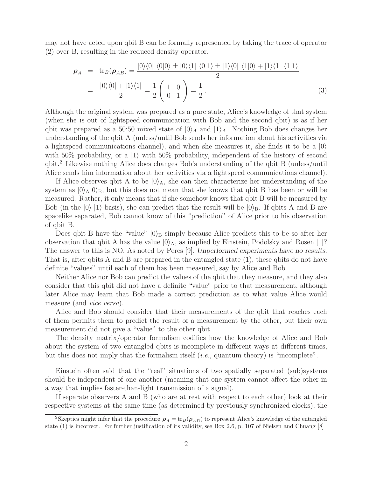may not have acted upon qbit B can be formally represented by taking the trace of operator (2) over B, resulting in the reduced density operator,

$$
\rho_A = \text{tr}_B(\rho_{AB}) = \frac{|0\rangle\langle 0| \langle 0|0\rangle \pm |0\rangle\langle 1| \langle 0|1\rangle \pm |1\rangle\langle 0| \langle 1|0\rangle + |1\rangle\langle 1| \langle 1|1\rangle}{2}
$$

$$
= \frac{|0\rangle\langle 0| + |1\rangle\langle 1|}{2} = \frac{1}{2} \begin{pmatrix} 1 & 0 \\ 0 & 1 \end{pmatrix} = \frac{I}{2}.
$$
(3)

Although the original system was prepared as a pure state, Alice's knowledge of that system (when she is out of lightspeed communication with Bob and the second qbit) is as if her qbit was prepared as a 50:50 mixed state of  $|0\rangle_A$  and  $|1\rangle_A$ . Nothing Bob does changes her understanding of the qbit A (unless/until Bob sends her information about his activities via a lightspeed communications channel), and when she measures it, she finds it to be a  $|0\rangle$ with 50% probability, or a  $|1\rangle$  with 50% probability, independent of the history of second qbit.<sup>2</sup> Likewise nothing Alice does changes Bob's understanding of the qbit B (unless/until Alice sends him information about her activities via a lightspeed communications channel).

If Alice observes qbit A to be  $|0\rangle_A$ , she can then characterize her understanding of the system as  $|0\rangle_A|0\rangle_B$ , but this does not mean that she knows that qbit B has been or will be measured. Rather, it only means that if she somehow knows that qbit B will be measured by Bob (in the  $|0\rangle$ - $|1\rangle$  basis), she can predict that the result will be  $|0\rangle$ <sub>B</sub>. If qbits A and B are spacelike separated, Bob cannot know of this "prediction" of Alice prior to his observation of qbit B.

Does qbit B have the "value"  $|0\rangle_B$  simply because Alice predicts this to be so after her observation that qbit A has the value  $|0\rangle_A$ , as implied by Einstein, Podolsky and Rosen [1]? The answer to this is NO. As noted by Peres [9], *Unperformed experiments have no results*. That is, after qbits A and B are prepared in the entangled state (1), these qbits do not have definite "values" until each of them has been measured, say by Alice and Bob.

Neither Alice nor Bob can predict the values of the qbit that they measure, and they also consider that this qbit did not have a definite "value" prior to that measurement, although later Alice may learn that Bob made a correct prediction as to what value Alice would measure (and *vice versa*).

Alice and Bob should consider that their measurements of the qbit that reaches each of them permits them to predict the result of a measurement by the other, but their own measurement did not give a "value" to the other qbit.

The density matrix/operator formalism codifies how the knowledge of Alice and Bob about the system of two entangled qbits is incomplete in different ways at different times, but this does not imply that the formalism itself (*i.e.*, quantum theory) is "incomplete".

Einstein often said that the "real" situations of two spatially separated (sub)systems should be independent of one another (meaning that one system cannot affect the other in a way that implies faster-than-light transmission of a signal).

If separate observers A and B (who are at rest with respect to each other) look at their respective systems at the same time (as determined by previously synchronized clocks), the

<sup>&</sup>lt;sup>2</sup>Skeptics might infer that the procedure  $\rho_A = \text{tr}_B(\rho_{AB})$  to represent Alice's knowledge of the entangled state (1) is incorrect. For further justification of its validity, see Box 2.6, p. 107 of Nielsen and Chuang [8]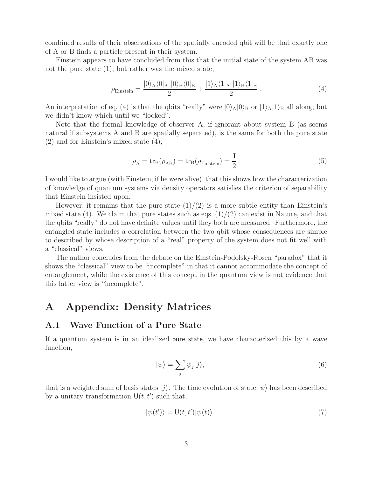combined results of their observations of the spatially encoded qbit will be that exactly one of A or B finds a particle present in their system.

Einstein appears to have concluded from this that the initial state of the system AB was not the pure state (1), but rather was the mixed state,

$$
\rho_{\text{Einstein}} = \frac{|0\rangle_A \langle 0|_A |0\rangle_B \langle 0|_B}{2} + \frac{|1\rangle_A \langle 1|_A |1\rangle_B \langle 1|_B}{2}.
$$
\n(4)

An interpretation of eq. (4) is that the qbits "really" were  $|0\rangle_A|0\rangle_B$  or  $|1\rangle_A|1\rangle_B$  all along, but we didn't know which until we "looked".

Note that the formal knowledge of observer A, if ignorant about system B (as seems natural if subsystems A and B are spatially separated), is the same for both the pure state (2) and for Einstein's mixed state (4),

$$
\rho_{\rm A} = \text{tr}_{\rm B}(\rho_{\rm AB}) = \text{tr}_{\rm B}(\rho_{\rm Einstein}) = \frac{I}{2} \,. \tag{5}
$$

I would like to argue (with Einstein, if he were alive), that this shows how the characterization of knowledge of quantum systems via density operators satisfies the criterion of separability that Einstein insisted upon.

However, it remains that the pure state  $(1)/(2)$  is a more subtle entity than Einstein's mixed state (4). We claim that pure states such as eqs.  $(1)/(2)$  can exist in Nature, and that the qbits "really" do not have definite values until they both are measured. Furthermore, the entangled state includes a correlation between the two qbit whose consequences are simple to described by whose description of a "real" property of the system does not fit well with a "classical" views.

The author concludes from the debate on the Einstein-Podolsky-Rosen "paradox" that it shows the "classical" view to be "incomplete" in that it cannot accommodate the concept of entanglement, while the existence of this concept in the quantum view is not evidence that this latter view is "incomplete".

# **A Appendix: Density Matrices**

#### **A.1 Wave Function of a Pure State**

If a quantum system is in an idealized pure state, we have characterized this by a wave function,

$$
|\psi\rangle = \sum_{j} \psi_{j} |j\rangle, \tag{6}
$$

that is a weighted sum of basis states  $|j\rangle$ . The time evolution of state  $|\psi\rangle$  has been described by a unitary transformation  $\mathsf{U}(t, t')$  such that,

$$
|\psi(t')\rangle = \mathsf{U}(t, t')|\psi(t)\rangle.
$$
 (7)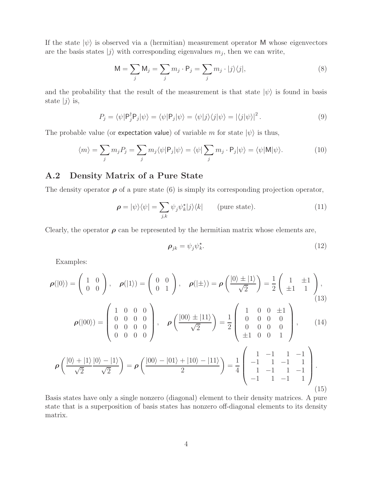If the state  $|\psi\rangle$  is observed via a (hermitian) measurement operator M whose eigenvectors are the basis states  $|j\rangle$  with corresponding eigenvalues  $m_j$ , then we can write,

$$
M = \sum_{j} M_{j} = \sum_{j} m_{j} \cdot P_{j} = \sum_{j} m_{j} \cdot |j\rangle\langle j|,
$$
\n(8)

and the probability that the result of the measurement is that state  $|\psi\rangle$  is found in basis state  $|j\rangle$  is,

$$
P_j = \langle \psi | \mathsf{P}_j^{\dagger} \mathsf{P}_j | \psi \rangle = \langle \psi | \mathsf{P}_j | \psi \rangle = \langle \psi | j \rangle \langle j | \psi \rangle = | \langle j | \psi \rangle |^2. \tag{9}
$$

The probable value (or expectation value) of variable m for state  $|\psi\rangle$  is thus,

$$
\langle m \rangle = \sum_{j} m_{j} P_{j} = \sum_{j} m_{j} \langle \psi | P_{j} | \psi \rangle = \langle \psi | \sum_{j} m_{j} \cdot P_{j} | \psi \rangle = \langle \psi | M | \psi \rangle.
$$
 (10)

### **A.2 Density Matrix of a Pure State**

The density operator  $\rho$  of a pure state (6) is simply its corresponding projection operator,

$$
\rho = |\psi\rangle\langle\psi| = \sum_{j,k} \psi_j \psi_k^{\star} |j\rangle\langle k| \qquad \text{(pure state)}.
$$
 (11)

Clearly, the operator  $\rho$  can be represented by the hermitian matrix whose elements are,

$$
\rho_{jk} = \psi_j \psi_k^*.\tag{12}
$$

Examples:

$$
\rho(|0\rangle) = \begin{pmatrix} 1 & 0 \\ 0 & 0 \end{pmatrix}, \quad \rho(|1\rangle) = \begin{pmatrix} 0 & 0 \\ 0 & 1 \end{pmatrix}, \quad \rho(|\pm\rangle) = \rho \left(\frac{|0\rangle \pm |1\rangle}{\sqrt{2}}\right) = \frac{1}{2} \begin{pmatrix} 1 & \pm 1 \\ \pm 1 & 1 \end{pmatrix},
$$
\n(13)\n
$$
\rho(|00\rangle) = \begin{pmatrix} 1 & 0 & 0 & 0 \\ 0 & 0 & 0 & 0 \\ 0 & 0 & 0 & 0 \\ 0 & 0 & 0 & 0 \end{pmatrix}, \quad \rho \left(\frac{|00\rangle \pm |11\rangle}{\sqrt{2}}\right) = \frac{1}{2} \begin{pmatrix} 1 & 0 & 0 & \pm 1 \\ 0 & 0 & 0 & 0 \\ 0 & 0 & 0 & 0 \\ \pm 1 & 0 & 0 & 1 \end{pmatrix},
$$
\n(14)\n
$$
\rho \left(\frac{|0\rangle + |1\rangle}{\sqrt{2}} \frac{|0\rangle - |1\rangle}{\sqrt{2}}\right) = \rho \left(\frac{|00\rangle - |01\rangle + |10\rangle - |11\rangle}{2}\right) = \frac{1}{4} \begin{pmatrix} 1 & -1 & 1 & -1 \\ -1 & 1 & -1 & 1 \\ 1 & -1 & 1 & -1 \\ -1 & 1 & -1 & 1 \end{pmatrix}.
$$
\n(15)

Basis states have only a single nonzero (diagonal) element to their density matrices. A pure state that is a superposition of basis states has nonzero off-diagonal elements to its density matrix.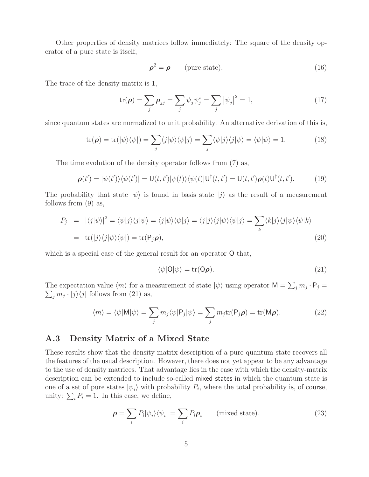Other properties of density matrices follow immediately: The square of the density operator of a pure state is itself,

$$
\rho^2 = \rho \qquad \text{(pure state)}.\tag{16}
$$

The trace of the density matrix is 1,

$$
\operatorname{tr}(\boldsymbol{\rho}) = \sum_{j} \boldsymbol{\rho}_{jj} = \sum_{j} \psi_{j} \psi_{j}^{\star} = \sum_{j} |\psi_{j}|^{2} = 1, \qquad (17)
$$

since quantum states are normalized to unit probability. An alternative derivation of this is,

$$
\operatorname{tr}(\boldsymbol{\rho}) = \operatorname{tr}(|\psi\rangle\langle\psi|) = \sum_{j} \langle j|\psi\rangle\langle\psi|j\rangle = \sum_{j} \langle\psi|j\rangle\langle j|\psi\rangle = \langle\psi|\psi\rangle = 1.
$$
 (18)

The time evolution of the density operator follows from (7) as,

$$
\boldsymbol{\rho}(t') = |\psi(t')\rangle\langle\psi(t')| = \mathsf{U}(t,t')|\psi(t)\rangle\langle\psi(t)|\mathsf{U}^{\dagger}(t,t') = \mathsf{U}(t,t')\boldsymbol{\rho}(t)\mathsf{U}^{\dagger}(t,t'). \tag{19}
$$

The probability that state  $|\psi\rangle$  is found in basis state  $|j\rangle$  as the result of a measurement follows from (9) as,

$$
P_j = |\langle j|\psi\rangle|^2 = \langle \psi|j\rangle \langle j|\psi\rangle = \langle j|\psi\rangle \langle \psi|j\rangle = \langle j|j\rangle \langle j|\psi\rangle \langle \psi|j\rangle = \sum_k \langle k|j\rangle \langle j|\psi\rangle \langle \psi|k\rangle
$$
  
= tr(|j\rangle \langle j|\psi\rangle \langle \psi|) = tr(P\_j \rho), (20)

which is a special case of the general result for an operator  $O$  that,

$$
\langle \psi | \mathsf{O} | \psi \rangle = \text{tr}(\mathsf{O}\boldsymbol{\rho}).\tag{21}
$$

The expectation value  $\langle m \rangle$  for a measurement of state  $|\psi\rangle$  using operator  $\mathsf{M} = \sum_j m_j \cdot \mathsf{P}_j =$  $\sum_j m_j \cdot |j\rangle\langle j|$  follows from (21) as,

$$
\langle m \rangle = \langle \psi | \mathsf{M} | \psi \rangle = \sum_{j} m_{j} \langle \psi | \mathsf{P}_{j} | \psi \rangle = \sum_{j} m_{j} \text{tr}(\mathsf{P}_{j} \rho) = \text{tr}(\mathsf{M} \rho).
$$
 (22)

#### **A.3 Density Matrix of a Mixed State**

These results show that the density-matrix description of a pure quantum state recovers all the features of the usual description. However, there does not yet appear to be any advantage to the use of density matrices. That advantage lies in the ease with which the density-matrix description can be extended to include so-called mixed states in which the quantum state is one of a set of pure states  $|\psi_i\rangle$  with probability  $P_i$ , where the total probability is, of course, unity:  $\sum_i P_i = 1$ . In this case, we define,

$$
\rho = \sum_{i} P_{i} |\psi_{i}\rangle\langle\psi_{i}| = \sum_{i} P_{i} \rho_{i} \qquad \text{(mixed state)}.
$$
 (23)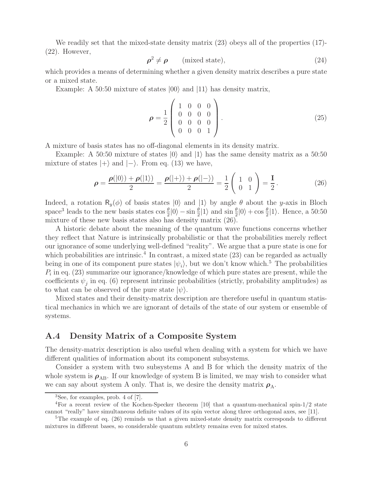We readily set that the mixed-state density matrix (23) obeys all of the properties (17)-(22). However,

$$
\rho^2 \neq \rho \qquad \text{(mixed state)},\tag{24}
$$

which provides a means of determining whether a given density matrix describes a pure state or a mixed state.

Example: A 50:50 mixture of states  $|00\rangle$  and  $|11\rangle$  has density matrix,

$$
\rho = \frac{1}{2} \begin{pmatrix} 1 & 0 & 0 & 0 \\ 0 & 0 & 0 & 0 \\ 0 & 0 & 0 & 0 \\ 0 & 0 & 0 & 1 \end{pmatrix} . \tag{25}
$$

A mixture of basis states has no off-diagonal elements in its density matrix.

Example: A 50:50 mixture of states  $|0\rangle$  and  $|1\rangle$  has the same density matrix as a 50:50 mixture of states  $|+\rangle$  and  $|-\rangle$ . From eq. (13) we have,

$$
\rho = \frac{\rho(|0\rangle) + \rho(|1\rangle)}{2} = \frac{\rho(|+\rangle) + \rho(|-\rangle)}{2} = \frac{1}{2} \begin{pmatrix} 1 & 0 \\ 0 & 1 \end{pmatrix} = \frac{I}{2}.
$$
 (26)

Indeed, a rotation  $R_y(\phi)$  of basis states  $|0\rangle$  and  $|1\rangle$  by angle  $\theta$  about the y-axis in Bloch space<sup>3</sup> leads to the new basis states  $\cos \frac{\theta}{2} |0\rangle - \sin \frac{\theta}{2} |1\rangle$  and  $\sin \frac{\theta}{2} |0\rangle + \cos \frac{\theta}{2} |1\rangle$ . Hence, a 50:50 mixture of these new basis states also has density matrix (26).

A historic debate about the meaning of the quantum wave functions concerns whether they reflect that Nature is intrinsically probabilistic or that the probabilities merely reflect our ignorance of some underlying well-defined "reality". We argue that a pure state is one for which probabilities are intrinsic.<sup>4</sup> In contrast, a mixed state  $(23)$  can be regarded as actually being in one of its component pure states  $|\psi_i\rangle$ , but we don't know which.<sup>5</sup> The probabilities  $P_i$  in eq. (23) summarize our ignorance/knowledge of which pure states are present, while the coefficients  $\psi_i$  in eq. (6) represent intrinsic probabilities (strictly, probability amplitudes) as to what can be observed of the pure state  $|\psi\rangle$ .

Mixed states and their density-matrix description are therefore useful in quantum statistical mechanics in which we are ignorant of details of the state of our system or ensemble of systems.

### **A.4 Density Matrix of a Composite System**

The density-matrix description is also useful when dealing with a system for which we have different qualities of information about its component subsystems.

Consider a system with two subsystems A and B for which the density matrix of the whole system is  $\rho_{AB}$ . If our knowledge of system B is limited, we may wish to consider what we can say about system A only. That is, we desire the density matrix  $\rho_A$ .

<sup>3</sup>See, for examples, prob. 4 of [7].

<sup>4</sup>For a recent review of the Kochen-Specker theorem [10] that a quantum-mechanical spin-1/2 state cannot "really" have simultaneous definite values of its spin vector along three orthogonal axes, see [11].

<sup>&</sup>lt;sup>5</sup>The example of eq. (26) reminds us that a given mixed-state density matrix corresponds to different mixtures in different bases, so considerable quantum subtlety remains even for mixed states.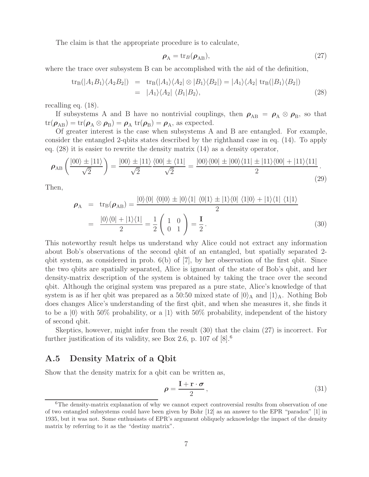The claim is that the appropriate procedure is to calculate,

$$
\rho_{\rm A} = \text{tr}_B(\rho_{\rm AB}),\tag{27}
$$

where the trace over subsystem B can be accomplished with the aid of the definition,

$$
tr_{B}(|A_{1}B_{1}\rangle\langle A_{2}B_{2}|) = tr_{B}(|A_{1}\rangle\langle A_{2}| \otimes |B_{1}\rangle\langle B_{2}|) = |A_{1}\rangle\langle A_{2}| tr_{B}(|B_{1}\rangle\langle B_{2}|)
$$
  
= |A\_{1}\rangle\langle A\_{2}| \langle B\_{1}|B\_{2}\rangle, (28)

recalling eq. (18).

If subsystems A and B have no nontrivial couplings, then  $\rho_{AB} = \rho_A \otimes \rho_B$ , so that  $tr(\rho_{AB}) = tr(\rho_A \otimes \rho_B) = \rho_A tr(\rho_B) = \rho_A$ , as expected.

Of greater interest is the case when subsystems A and B are entangled. For example, consider the entangled 2-qbits states described by the righthand case in eq. (14). To apply eq. (28) it is easier to rewrite the density matrix (14) as a density operator,

$$
\rho_{AB} \left( \frac{|00\rangle \pm |11\rangle}{\sqrt{2}} \right) = \frac{|00\rangle \pm |11\rangle}{\sqrt{2}} \frac{\langle 00| \pm \langle 11|}{\sqrt{2}} = \frac{|00\rangle\langle 00| \pm |00\rangle\langle 11| \pm |11\rangle\langle 00| + |11\rangle\langle 11|}{2}.
$$
\n(29)

Then,

$$
\rho_{A} = tr_{B}(\rho_{AB}) = \frac{|0\rangle\langle 0| \langle 0|0\rangle \pm |0\rangle\langle 1| \langle 0|1\rangle \pm |1\rangle\langle 0| \langle 1|0\rangle + |1\rangle\langle 1| \langle 1|1\rangle}{2}
$$

$$
= \frac{|0\rangle\langle 0| + |1\rangle\langle 1|}{2} = \frac{1}{2} \begin{pmatrix} 1 & 0 \\ 0 & 1 \end{pmatrix} = \frac{I}{2}.
$$
(30)

This noteworthy result helps us understand why Alice could not extract any information about Bob's observations of the second qbit of an entangled, but spatially separated 2 qbit system, as considered in prob.  $6(b)$  of [7], by her observation of the first qbit. Since the two qbits are spatially separated, Alice is ignorant of the state of Bob's qbit, and her density-matrix description of the system is obtained by taking the trace over the second qbit. Although the original system was prepared as a pure state, Alice's knowledge of that system is as if her qbit was prepared as a 50:50 mixed state of  $|0\rangle_A$  and  $|1\rangle_A$ . Nothing Bob does changes Alice's understanding of the first qbit, and when she measures it, she finds it to be a  $|0\rangle$  with 50% probability, or a  $|1\rangle$  with 50% probability, independent of the history of second qbit.

Skeptics, however, might infer from the result (30) that the claim (27) is incorrect. For further justification of its validity, see Box 2.6, p. 107 of  $[8]$ <sup>6</sup>

#### **A.5 Density Matrix of a Qbit**

Show that the density matrix for a qbit can be written as,

$$
\rho = \frac{\mathbf{I} + \mathbf{r} \cdot \boldsymbol{\sigma}}{2},\tag{31}
$$

<sup>&</sup>lt;sup>6</sup>The density-matrix explanation of why we cannot expect controversial results from observation of one of two entangled subsystems could have been given by Bohr [12] as an answer to the EPR "paradox" [1] in 1935, but it was not. Some enthusiasts of EPR's argument obliquely acknowledge the impact of the density matrix by referring to it as the "destiny matrix".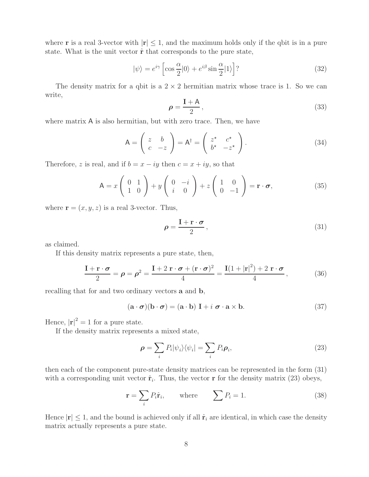where **r** is a real 3-vector with  $|\mathbf{r}| \leq 1$ , and the maximum holds only if the qbit is in a pure state. What is the unit vector ˆ**r** that corresponds to the pure state,

$$
|\psi\rangle = e^{i\gamma} \left[ \cos \frac{\alpha}{2} |0\rangle + e^{i\beta} \sin \frac{\alpha}{2} |1\rangle \right] ? \tag{32}
$$

The density matrix for a qbit is a  $2 \times 2$  hermitian matrix whose trace is 1. So we can write,

$$
\rho = \frac{\mathbf{I} + \mathbf{A}}{2},\tag{33}
$$

where matrix A is also hermitian, but with zero trace. Then, we have

$$
A = \begin{pmatrix} z & b \\ c & -z \end{pmatrix} = A^{\dagger} = \begin{pmatrix} z^{\star} & c^{\star} \\ b^{\star} & -z^{\star} \end{pmatrix}.
$$
 (34)

Therefore, z is real, and if  $b = x - iy$  then  $c = x + iy$ , so that

$$
\mathsf{A} = x \left( \begin{array}{cc} 0 & 1 \\ 1 & 0 \end{array} \right) + y \left( \begin{array}{cc} 0 & -i \\ i & 0 \end{array} \right) + z \left( \begin{array}{cc} 1 & 0 \\ 0 & -1 \end{array} \right) = \mathbf{r} \cdot \boldsymbol{\sigma},\tag{35}
$$

where  $\mathbf{r} = (x, y, z)$  is a real 3-vector. Thus,

$$
\rho = \frac{\mathbf{I} + \mathbf{r} \cdot \boldsymbol{\sigma}}{2},\tag{31}
$$

as claimed.

If this density matrix represents a pure state, then,

$$
\frac{\mathbf{I} + \mathbf{r} \cdot \boldsymbol{\sigma}}{2} = \boldsymbol{\rho} = \boldsymbol{\rho}^2 = \frac{\mathbf{I} + 2 \mathbf{r} \cdot \boldsymbol{\sigma} + (\mathbf{r} \cdot \boldsymbol{\sigma})^2}{4} = \frac{\mathbf{I}(1 + |\mathbf{r}|^2) + 2 \mathbf{r} \cdot \boldsymbol{\sigma}}{4},
$$
(36)

recalling that for and two ordinary vectors **a** and **b**,

$$
(\mathbf{a} \cdot \boldsymbol{\sigma})(\mathbf{b} \cdot \boldsymbol{\sigma}) = (\mathbf{a} \cdot \mathbf{b}) \mathbf{I} + i \mathbf{\sigma} \cdot \mathbf{a} \times \mathbf{b}.
$$
 (37)

Hence,  $|\mathbf{r}|^2 = 1$  for a pure state.

If the density matrix represents a mixed state,

$$
\rho = \sum_{i} P_{i} |\psi_{i}\rangle\langle\psi_{i}| = \sum_{i} P_{i} \rho_{i}, \qquad (23)
$$

then each of the component pure-state density matrices can be represented in the form (31) with a corresponding unit vector  $\hat{\mathbf{r}}_i$ . Thus, the vector **r** for the density matrix (23) obeys,

$$
\mathbf{r} = \sum_{i} P_{i} \hat{\mathbf{r}}_{i}, \qquad \text{where} \qquad \sum P_{i} = 1. \tag{38}
$$

Hence  $|\mathbf{r}| \leq 1$ , and the bound is achieved only if all  $\hat{\mathbf{r}}_i$  are identical, in which case the density matrix actually represents a pure state.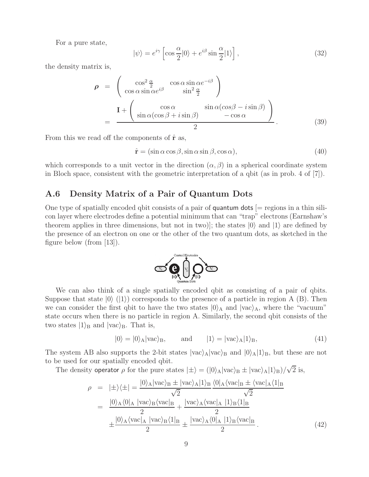For a pure state,

$$
|\psi\rangle = e^{i\gamma} \left[ \cos \frac{\alpha}{2} |0\rangle + e^{i\beta} \sin \frac{\alpha}{2} |1\rangle \right],
$$
 (32)

the density matrix is,

$$
\rho = \begin{pmatrix} \cos^2 \frac{\alpha}{2} & \cos \alpha \sin \alpha e^{-i\beta} \\ \cos \alpha \sin \alpha e^{i\beta} & \sin^2 \frac{\alpha}{2} \end{pmatrix}
$$

$$
= \frac{\mathbf{I} + \begin{pmatrix} \cos \alpha & \sin \alpha (\cos \beta - i \sin \beta) \\ \sin \alpha (\cos \beta + i \sin \beta) & -\cos \alpha \end{pmatrix}}{2}.
$$
(39)

From this we read off the components of  $\hat{\mathbf{r}}$  as,

$$
\hat{\mathbf{r}} = (\sin \alpha \cos \beta, \sin \alpha \sin \beta, \cos \alpha),\tag{40}
$$

which corresponds to a unit vector in the direction  $(\alpha, \beta)$  in a spherical coordinate system in Bloch space, consistent with the geometric interpretation of a qbit (as in prob. 4 of [7]).

#### **A.6 Density Matrix of a Pair of Quantum Dots**

One type of spatially encoded qbit consists of a pair of **quantum dots**  $[=$  regions in a thin silicon layer where electrodes define a potential minimum that can "trap" electrons (Earnshaw's theorem applies in three dimensions, but not in two)]; the states  $|0\rangle$  and  $|1\rangle$  are defined by the presence of an electron on one or the other of the two quantum dots, as sketched in the figure below (from [13]).



We can also think of a single spatially encoded qbit as consisting of a pair of qbits. Suppose that state  $|0\rangle$  ( $|1\rangle$ ) corresponds to the presence of a particle in region A (B). Then we can consider the first qbit to have the two states  $|0\rangle_A$  and  $|vac\rangle_A$ , where the "vacuum" state occurs when there is no particle in region A. Similarly, the second qbit consists of the two states  $|1\rangle_B$  and  $|vac\rangle_B$ . That is,

$$
|0\rangle = |0\rangle_A|\text{vac}\rangle_B, \qquad \text{and} \qquad |1\rangle = |\text{vac}\rangle_A|1\rangle_B,\tag{41}
$$

The system AB also supports the 2-bit states  $|vac\rangle_A |vac\rangle_B$  and  $|0\rangle_A |1\rangle_B$ , but these are not to be used for our spatially encoded qbit.

The density operator  $\rho$  for the pure states  $|\pm\rangle = (|0\rangle_A |vac\rangle_B \pm |vac\rangle_A |1\rangle_B)/\sqrt{2}$  is,

ρ = |±-±| <sup>=</sup> <sup>|</sup>0-A|vac-<sup>B</sup> ± |vac-A|1-B √ 2 0|Avac|<sup>B</sup> ± vac|A1|<sup>B</sup> √ 2 <sup>=</sup> <sup>|</sup>0-<sup>A</sup>0|<sup>A</sup> |vac-<sup>B</sup>vac|<sup>B</sup> <sup>2</sup> <sup>+</sup> <sup>|</sup>vac-<sup>A</sup>vac|<sup>A</sup> |1-<sup>B</sup>1|<sup>B</sup> 2 ±|0-<sup>A</sup>vac|<sup>A</sup> |vac-<sup>B</sup>1|<sup>B</sup> 2 <sup>±</sup> <sup>|</sup>vac-<sup>A</sup>0|<sup>A</sup> |1-<sup>B</sup>vac|<sup>B</sup> <sup>2</sup> . (42)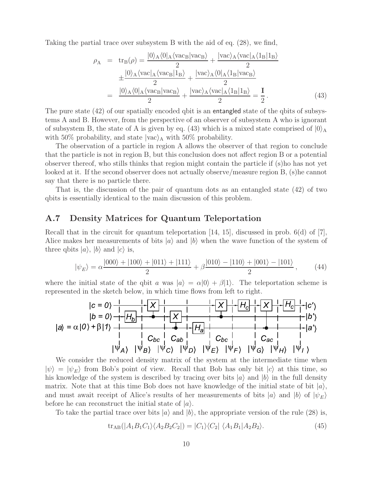Taking the partial trace over subsystem B with the aid of eq. (28), we find,

$$
\rho_{A} = tr_{B}(\rho) = \frac{|0\rangle_{A}\langle 0|_{A}\langle vac_{B}|vac_{B}\rangle}{2} + \frac{|vac\rangle_{A}\langle vac|_{A}\langle 1_{B}|1_{B}\rangle}{2}
$$

$$
\pm \frac{|0\rangle_{A}\langle vac|_{A}\langle vac_{B}|1_{B}\rangle}{2} + \frac{|vac\rangle_{A}\langle 0|_{A}\langle 1_{B}|vac_{B}\rangle}{2}
$$

$$
= \frac{|0\rangle_{A}\langle 0|_{A}\langle vac_{B}|vac_{B}\rangle}{2} + \frac{|vac\rangle_{A}\langle vac|_{A}\langle 1_{B}|1_{B}\rangle}{2} = \frac{I}{2}.
$$
(43)

The pure state (42) of our spatially encoded qbit is an entangled state of the qbits of subsystems A and B. However, from the perspective of an observer of subsystem A who is ignorant of subsystem B, the state of A is given by eq. (43) which is a mixed state comprised of  $|0\rangle_A$ with 50% probability, and state  $|vac\rangle_A$  with 50% probability.

The observation of a particle in region A allows the observer of that region to conclude that the particle is not in region B, but this conclusion does not affect region B or a potential observer thereof, who stills thinks that region might contain the particle if (s)ho has not yet looked at it. If the second observer does not actually observe/measure region B, (s)he cannot say that there is no particle there.

That is, the discussion of the pair of quantum dots as an entangled state (42) of two qbits is essentially identical to the main discussion of this problem.

### **A.7 Density Matrices for Quantum Teleportation**

Recall that in the circuit for quantum teleportation [14, 15], discussed in prob. 6(d) of [7], Alice makes her measurements of bits  $|a\rangle$  and  $|b\rangle$  when the wave function of the system of three qbits  $|a\rangle$ ,  $|b\rangle$  and  $|c\rangle$  is,

$$
|\psi_E\rangle = \alpha \frac{|000\rangle + |100\rangle + |011\rangle + |111\rangle}{2} + \beta \frac{|010\rangle - |110\rangle + |001\rangle - |101\rangle}{2}, \tag{44}
$$

where the initial state of the qbit a was  $|a\rangle = \alpha|0\rangle + \beta|1\rangle$ . The teleportation scheme is represented in the sketch below, in which time flows from left to right.



We consider the reduced density matrix of the system at the intermediate time when  $|\psi\rangle = |\psi_E\rangle$  from Bob's point of view. Recall that Bob has only bit  $|c\rangle$  at this time, so his knowledge of the system is described by tracing over bits  $|a\rangle$  and  $|b\rangle$  in the full density matrix. Note that at this time Bob does not have knowledge of the initial state of bit  $|a\rangle$ , and must await receipt of Alice's results of her measurements of bits  $|a\rangle$  and  $|b\rangle$  of  $|\psi_E\rangle$ before he can reconstruct the initial state of  $|a\rangle$ .

To take the partial trace over bits  $|a\rangle$  and  $|b\rangle$ , the appropriate version of the rule (28) is,

$$
\text{tr}_{AB}(|A_1B_1C_1\rangle\langle A_2B_2C_2|) = |C_1\rangle\langle C_2| \langle A_1B_1|A_2B_2\rangle.
$$
 (45)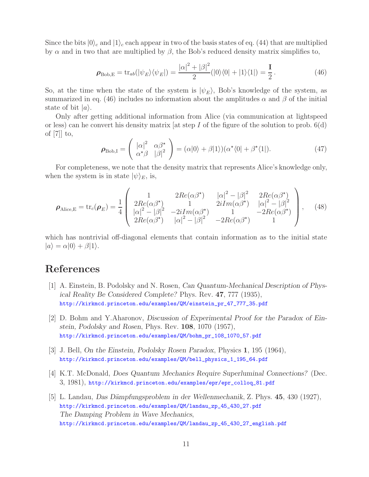Since the bits  $|0\rangle_c$  and  $|1\rangle_c$  each appear in two of the basis states of eq. (44) that are multiplied by  $\alpha$  and in two that are multiplied by  $\beta$ , the Bob's reduced density matrix simplifies to,

$$
\rho_{\text{Bob,E}} = \text{tr}_{ab}(|\psi_E\rangle\langle\psi_E|) = \frac{|\alpha|^2 + |\beta|^2}{2} (|0\rangle\langle0| + |1\rangle\langle1|) = \frac{I}{2}.
$$
 (46)

So, at the time when the state of the system is  $|\psi_E\rangle$ , Bob's knowledge of the system, as summarized in eq. (46) includes no information about the amplitudes  $\alpha$  and  $\beta$  of the initial state of bit  $|a\rangle$ .

Only after getting additional information from Alice (via communication at lightspeed or less) can he convert his density matrix [at step I of the figure of the solution to prob.  $6(d)$ of [7]] to,

$$
\boldsymbol{\rho}_{\text{Bob,I}} = \begin{pmatrix} |\alpha|^2 & \alpha \beta^{\star} \\ \alpha^{\star} \beta & |\beta|^2 \end{pmatrix} = (\alpha|0\rangle + \beta|1\rangle)(\alpha^{\star}\langle 0| + \beta^{\star}\langle 1|). \tag{47}
$$

For completeness, we note that the density matrix that represents Alice's knowledge only, when the system is in state  $|\psi\rangle_E$ , is,

$$
\rho_{\text{Alice},E} = \text{tr}_c(\rho_E) = \frac{1}{4} \begin{pmatrix} 1 & 2Re(\alpha \beta^*) & |\alpha|^2 - |\beta|^2 & 2Re(\alpha \beta^*) \\ 2Re(\alpha \beta^*) & 1 & 2iIm(\alpha \beta^*) & |\alpha|^2 - |\beta|^2 \\ |\alpha|^2 - |\beta|^2 & -2iIm(\alpha \beta^*) & 1 & -2Re(\alpha \beta^*) \\ 2Re(\alpha \beta^*) & |\alpha|^2 - |\beta|^2 & -2Re(\alpha \beta^*) & 1 \end{pmatrix}, \quad (48)
$$

which has nontrivial off-diagonal elements that contain information as to the initial state  $|a\rangle = \alpha|0\rangle + \beta|1\rangle.$ 

# **References**

- [1] A. Einstein, B. Podolsky and N. Rosen, *Can Quantum-Mechanical Description of Physical Reality Be Considered Complete?* Phys. Rev. **47**, 777 (1935), http://kirkmcd.princeton.edu/examples/QM/einstein\_pr\_47\_777\_35.pdf
- [2] D. Bohm and Y.Aharonov, *Discussion of Experimental Proof for the Paradox of Einstein, Podolsky and Rosen*, Phys. Rev. **108**, 1070 (1957), http://kirkmcd.princeton.edu/examples/QM/bohm\_pr\_108\_1070\_57.pdf
- [3] J. Bell, *On the Einstein, Podolsky Rosen Paradox*, Physics **1**, 195 (1964), http://kirkmcd.princeton.edu/examples/QM/bell\_physics\_1\_195\_64.pdf
- [4] K.T. McDonald, *Does Quantum Mechanics Require Superluminal Connections?* (Dec. 3, 1981), http://kirkmcd.princeton.edu/examples/epr/epr\_colloq\_81.pdf
- [5] L. Landau, *Das D¨ampfungsproblem in der Wellenmechanik*, Z. Phys. **45**, 430 (1927), http://kirkmcd.princeton.edu/examples/QM/landau\_zp\_45\_430\_27.pdf *The Damping Problem in Wave Mechanics*, http://kirkmcd.princeton.edu/examples/QM/landau\_zp\_45\_430\_27\_english.pdf